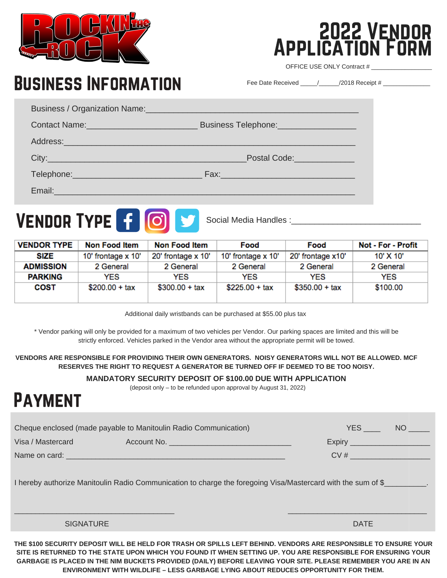

Business Information

## 2022 Vendor Application Form

OFFICE USE ONLY Contract #

Fee Date Received  $\frac{1}{\sqrt{2018}}$  Receipt #

| Business / Organization Name: 2008 and 2009 and 2009 and 2009 and 2009 and 2009 and 2009 and 2009 and 2009 and                                                                                                                 |                                         |  |
|--------------------------------------------------------------------------------------------------------------------------------------------------------------------------------------------------------------------------------|-----------------------------------------|--|
| Contact Name: Name: Name and South Allen Manual Allen Manual Allen Manual Allen Manual Allen Manual Allen Manual Allen Manual Allen Manual Allen Manual Allen Manual Allen Manual Allen Manual Allen Manual Allen Manual Allen | Business Telephone: <b>Example 2014</b> |  |
|                                                                                                                                                                                                                                |                                         |  |
| City: City:                                                                                                                                                                                                                    | Postal Code: New York Postal Code:      |  |
| Telephone: New York Changes and Changes and Changes and Changes and Changes and Changes and Changes and Changes                                                                                                                |                                         |  |
| Email:                                                                                                                                                                                                                         |                                         |  |

## VENDOR TYPE **f 0** 9

Social Media Handles :

| <b>VENDOR TYPE</b> | Non Food Item      | Non Food Item             | Food               | Food              | <b>Not - For - Profit</b> |
|--------------------|--------------------|---------------------------|--------------------|-------------------|---------------------------|
| SIZE               | 10' frontage x 10' | 20' frontage $\times$ 10' | 10' frontage x 10' | 20' frontage x10' | 10' X 10'                 |
| <b>ADMISSION</b>   | 2 General          | 2 General                 | 2 General          | 2 General         | 2 General                 |
| <b>PARKING</b>     | YES                | <b>YES</b>                | <b>YES</b>         | <b>YES</b>        | <b>YES</b>                |
| <b>COST</b>        | $$200.00 + tax$    | $$300.00 + tax$           | $$225.00 + tax$    | $$350.00 + tax$   | \$100.00                  |

Additional daily wristbands can be purchased at \$55.00 plus tax

\* Vendor parking will only be provided for a maximum of two vehicles per Vendor. Our parking spaces are limited and this will be strictly enforced. Vehicles parked in the Vendor area without the appropriate permit will be towed.

**VENDORS ARE RESPONSIBLE FOR PROVIDING THEIR OWN GENERATORS. NOISY GENERATORS WILL NOT BE ALLOWED. MCF RESERVES THE RIGHT TO REQUEST A GENERATOR BE TURNED OFF IF DEEMED TO BE TOO NOISY.**

#### **MANDATORY SECURITY DEPOSIT OF \$100.00 DUE WITH APPLICATION**

(deposit only – to be refunded upon approval by August 31, 2022)

## **PAYMENT**

| Cheque enclosed (made payable to Manitoulin Radio Communication)                                             |                                                                                                                       |                                              |  |  |  |
|--------------------------------------------------------------------------------------------------------------|-----------------------------------------------------------------------------------------------------------------------|----------------------------------------------|--|--|--|
|                                                                                                              | Expiry <b>Expire Act of Expire Act of Act of Act of Act of Act of Act of Act of Act of Act of Act of Act of Act o</b> |                                              |  |  |  |
|                                                                                                              | CV#                                                                                                                   |                                              |  |  |  |
| I hereby authorize Manitoulin Radio Communication to charge the foregoing Visa/Mastercard with the sum of \$ |                                                                                                                       |                                              |  |  |  |
|                                                                                                              | <b>DATE</b>                                                                                                           |                                              |  |  |  |
|                                                                                                              |                                                                                                                       | <b>YES</b><br>NO <sub>2</sub><br>Account No. |  |  |  |

THE \$100 SECURITY DEPOSIT WILL BE HELD FOR TRASH OR SPILLS LEFT BEHIND. VENDORS ARE RESPONSIBLE TO ENSURE YOUR SITE IS RETURNED TO THE STATE UPON WHICH YOU FOUND IT WHEN SETTING UP. YOU ARE RESPONSIBLE FOR ENSURING YOUR GARBAGE IS PLACED IN THE NIM BUCKETS PROVIDED (DAILY) BEFORE LEAVING YOUR SITE. PLEASE REMEMBER YOU ARE IN AN **ENVIRONMENT WITH WILDLIFE – LESS GARBAGE LYING ABOUT REDUCES OPPORTUNITY FOR THEM.**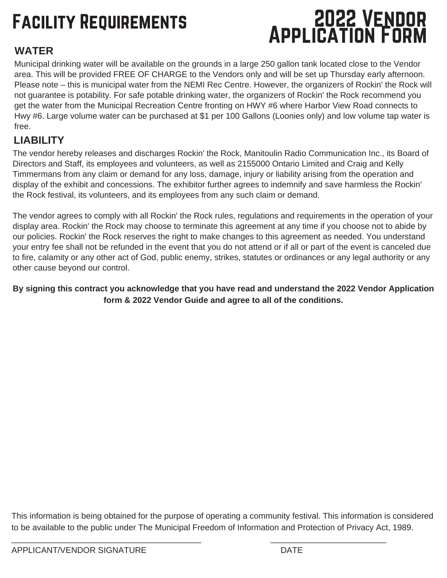# Facility Requirements

## 2022 Vendor Application Form

### **WATER**

Municipal drinking water will be available on the grounds in a large 250 gallon tank located close to the Vendor area. This will be provided FREE OF CHARGE to the Vendors only and will be set up Thursday early afternoon. Please note – this is municipal water from the NEMI Rec Centre. However, the organizers of Rockin' the Rock will not guarantee is potability. For safe potable drinking water, the organizers of Rockin' the Rock recommend you get the water from the Municipal Recreation Centre fronting on HWY #6 where Harbor View Road connects to Hwy #6. Large volume water can be purchased at \$1 per 100 Gallons (Loonies only) and low volume tap water is free.

### **LIABILITY**

The vendor hereby releases and discharges Rockin' the Rock, Manitoulin Radio Communication Inc., its Board of Directors and Staff, its employees and volunteers, as well as 2155000 Ontario Limited and Craig and Kelly Timmermans from any claim or demand for any loss, damage, injury or liability arising from the operation and display of the exhibit and concessions. The exhibitor further agrees to indemnify and save harmless the Rockin' the Rock festival, its volunteers, and its employees from any such claim or demand.

The vendor agrees to comply with all Rockin' the Rock rules, regulations and requirements in the operation of your display area. Rockin' the Rock may choose to terminate this agreement at any time if you choose not to abide by our policies. Rockin' the Rock reserves the right to make changes to this agreement as needed. You understand your entry fee shall not be refunded in the event that you do not attend or if all or part of the event is canceled due to fire, calamity or any other act of God, public enemy, strikes, statutes or ordinances or any legal authority or any other cause beyond our control.

**By signing this contract you acknowledge that you have read and understand the 2022 Vendor Application form & 2022 Vendor Guide and agree to all of the conditions.**

This information is being obtained for the purpose of operating a community festival. This information is considered to be available to the public under The Municipal Freedom of Information and Protection of Privacy Act, 1989.

 $\mathcal{L}_\text{max}$  , and the contribution of the contribution of the contribution of the contribution of the contribution of the contribution of the contribution of the contribution of the contribution of the contribution of t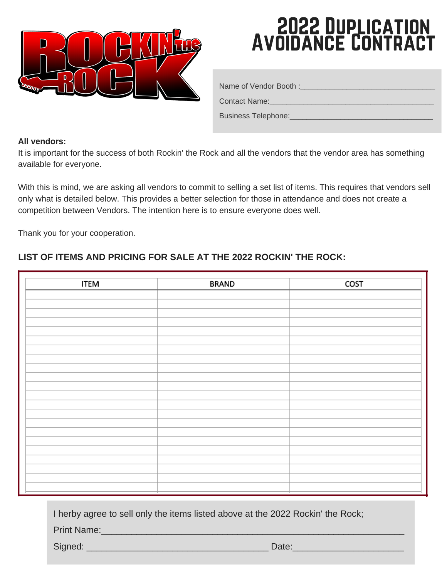

## 2022 Duplication Avoidance Contract

Name of Vendor Booth :\_\_\_\_\_\_\_\_\_\_\_\_\_\_\_\_\_\_\_\_\_\_\_\_\_\_\_\_\_\_\_\_

Contact Name:

Business Telephone:

#### **All vendors:**

It is important for the success of both Rockin' the Rock and all the vendors that the vendor area has something available for everyone.

With this is mind, we are asking all vendors to commit to selling a set list of items. This requires that vendors sell only what is detailed below. This provides a better selection for those in attendance and does not create a competition between Vendors. The intention here is to ensure everyone does well.

Thank you for your cooperation.

#### **LIST OF ITEMS AND PRICING FOR SALE AT THE 2022 ROCKIN' THE ROCK:**

| <b>ITEM</b> | <b>BRAND</b> | COST |
|-------------|--------------|------|
|             |              |      |
|             |              |      |
|             |              |      |
|             |              |      |
|             |              |      |
|             |              |      |
|             |              |      |
|             |              |      |
|             |              |      |
|             |              |      |
|             |              |      |
|             |              |      |
|             |              |      |
|             |              |      |
|             |              |      |
|             |              |      |
|             |              |      |
|             |              |      |
|             |              |      |
|             |              |      |

I herby agree to sell only the items listed above at the 2022 Rockin' the Rock;

Print Name:

Signed: \_\_\_\_\_\_\_\_\_\_\_\_\_\_\_\_\_\_\_\_\_\_\_\_\_\_\_\_\_\_\_\_\_\_\_\_ Date:\_\_\_\_\_\_\_\_\_\_\_\_\_\_\_\_\_\_\_\_\_\_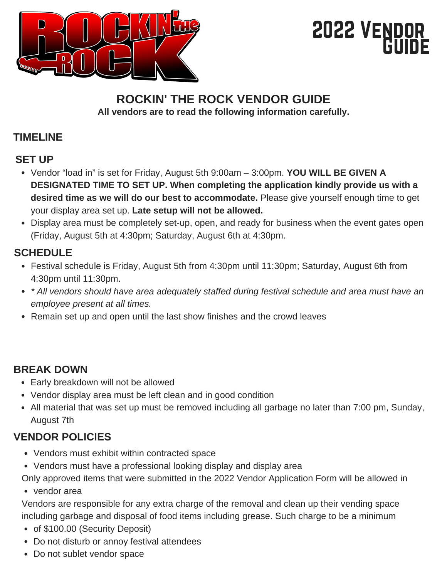

## 2022 VENDOR Guide

#### **ROCKIN' THE ROCK VENDOR GUIDE All vendors are to read the following information carefully.**

### **TIMELINE**

### **SET UP**

- Vendor "load in" is set for Friday, August 5th 9:00am 3:00pm. **YOU WILL BE GIVEN A DESIGNATED TIME TO SET UP. When completing the application kindly provide us with a desired time as we will do our best to accommodate.** Please give yourself enough time to get your display area set up. **Late setup will not be allowed.**
- Display area must be completely set-up, open, and ready for business when the event gates open (Friday, August 5th at 4:30pm; Saturday, August 6th at 4:30pm.

#### **SCHEDULE**

- Festival schedule is Friday, August 5th from 4:30pm until 11:30pm; Saturday, August 6th from 4:30pm until 11:30pm.
- *\* All vendors should have area adequately staffed during festival schedule and area must have an employee present at all times.*
- Remain set up and open until the last show finishes and the crowd leaves

### **BREAK DOWN**

- Early breakdown will not be allowed
- Vendor display area must be left clean and in good condition
- All material that was set up must be removed including all garbage no later than 7:00 pm, Sunday, August 7th

### **VENDOR POLICIES**

- Vendors must exhibit within contracted space
- Vendors must have a professional looking display and display area
- vendor area Only approved items that were submitted in the 2022 Vendor Application Form will be allowed in

Vendors are responsible for any extra charge of the removal and clean up their vending space including garbage and disposal of food items including grease. Such charge to be a minimum

- of \$100.00 (Security Deposit)
- Do not disturb or annoy festival attendees
- Do not sublet vendor space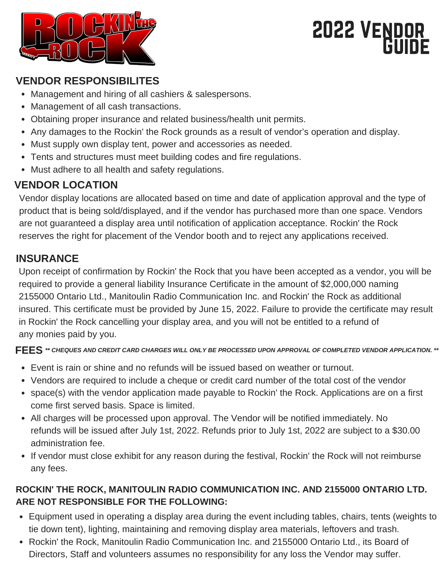

## 2022 VENDOR Guide

#### **VENDOR RESPONSIBILITES**

- Management and hiring of all cashiers & salespersons.
- Management of all cash transactions.
- Obtaining proper insurance and related business/health unit permits.
- Any damages to the Rockin' the Rock grounds as a result of vendor's operation and display.
- Must supply own display tent, power and accessories as needed.
- Tents and structures must meet building codes and fire regulations.
- Must adhere to all health and safety regulations.

### **VENDOR LOCATION**

Vendor display locations are allocated based on time and date of application approval and the type of product that is being sold/displayed, and if the vendor has purchased more than one space. Vendors are not guaranteed a display area until notification of application acceptance. Rockin' the Rock reserves the right for placement of the Vendor booth and to reject any applications received.

#### **INSURANCE**

Upon receipt of confirmation by Rockin' the Rock that you have been accepted as a vendor, you will be required to provide a general liability Insurance Certificate in the amount of \$2,000,000 naming 2155000 Ontario Ltd., Manitoulin Radio Communication Inc. and Rockin' the Rock as additional insured. This certificate must be provided by June 15, 2022. Failure to provide the certificate may result in Rockin' the Rock cancelling your display area, and you will not be entitled to a refund of any monies paid by you.

FEES \*\* CHEQUES AND CREDIT CARD CHARGES WILL ONLY BE PROCESSED UPON APPROVAL OF COMPLETED VENDOR APPLICATION. \*\*

- Event is rain or shine and no refunds will be issued based on weather or turnout.
- Vendors are required to include a cheque or credit card number of the total cost of the vendor
- space(s) with the vendor application made payable to Rockin' the Rock. Applications are on a first come first served basis. Space is limited.
- All charges will be processed upon approval. The Vendor will be notified immediately. No refunds will be issued after July 1st, 2022. Refunds prior to July 1st, 2022 are subject to a \$30.00 administration fee.
- If vendor must close exhibit for any reason during the festival, Rockin' the Rock will not reimburse any fees.

#### **ROCKIN' THE ROCK, MANITOULIN RADIO COMMUNICATION INC. AND 2155000 ONTARIO LTD. ARE NOT RESPONSIBLE FOR THE FOLLOWING:**

- Equipment used in operating a display area during the event including tables, chairs, tents (weights to tie down tent), lighting, maintaining and removing display area materials, leftovers and trash.
- Rockin' the Rock, Manitoulin Radio Communication Inc. and 2155000 Ontario Ltd., its Board of Directors, Staff and volunteers assumes no responsibility for any loss the Vendor may suffer.